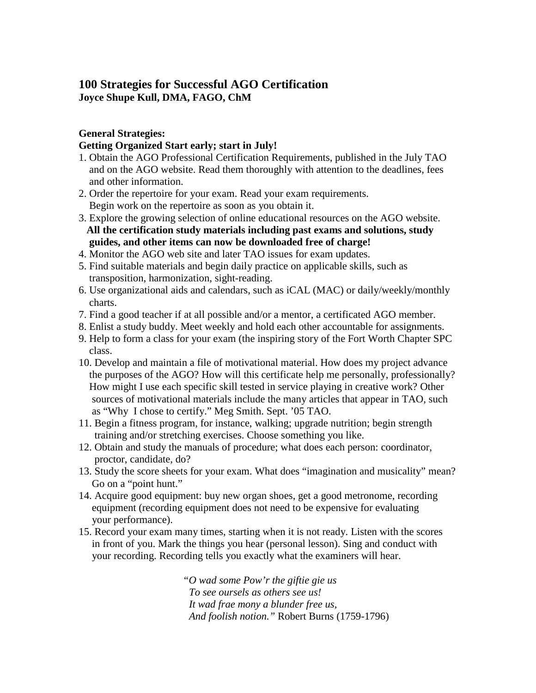# **100 Strategies for Successful AGO Certification Joyce Shupe Kull, DMA, FAGO, ChM**

## **General Strategies:**

## **Getting Organized Start early; start in July!**

- 1. Obtain the AGO Professional Certification Requirements, published in the July TAO and on the AGO website. Read them thoroughly with attention to the deadlines, fees and other information.
- 2. Order the repertoire for your exam. Read your exam requirements. Begin work on the repertoire as soon as you obtain it.
- 3. Explore the growing selection of online educational resources on the AGO website. **All the certification study materials including past exams and solutions, study guides, and other items can now be downloaded free of charge!**
- 4. Monitor the AGO web site and later TAO issues for exam updates.
- 5. Find suitable materials and begin daily practice on applicable skills, such as transposition, harmonization, sight-reading.
- 6. Use organizational aids and calendars, such as iCAL (MAC) or daily/weekly/monthly charts.
- 7. Find a good teacher if at all possible and/or a mentor, a certificated AGO member.
- 8. Enlist a study buddy. Meet weekly and hold each other accountable for assignments.
- 9. Help to form a class for your exam (the inspiring story of the Fort Worth Chapter SPC class.
- 10. Develop and maintain a file of motivational material. How does my project advance the purposes of the AGO? How will this certificate help me personally, professionally? How might I use each specific skill tested in service playing in creative work? Other sources of motivational materials include the many articles that appear in TAO, such as "Why I chose to certify." Meg Smith. Sept. '05 TAO.
- 11. Begin a fitness program, for instance, walking; upgrade nutrition; begin strength training and/or stretching exercises. Choose something you like.
- 12. Obtain and study the manuals of procedure; what does each person: coordinator, proctor, candidate, do?
- 13. Study the score sheets for your exam. What does "imagination and musicality" mean? Go on a "point hunt."
- 14. Acquire good equipment: buy new organ shoes, get a good metronome, recording equipment (recording equipment does not need to be expensive for evaluating your performance).
- 15. Record your exam many times, starting when it is not ready. Listen with the scores in front of you. Mark the things you hear (personal lesson). Sing and conduct with your recording. Recording tells you exactly what the examiners will hear.

*"O wad some Pow'r the giftie gie us To see oursels as others see us! It wad frae mony a blunder free us, And foolish notion."* Robert Burns (1759-1796)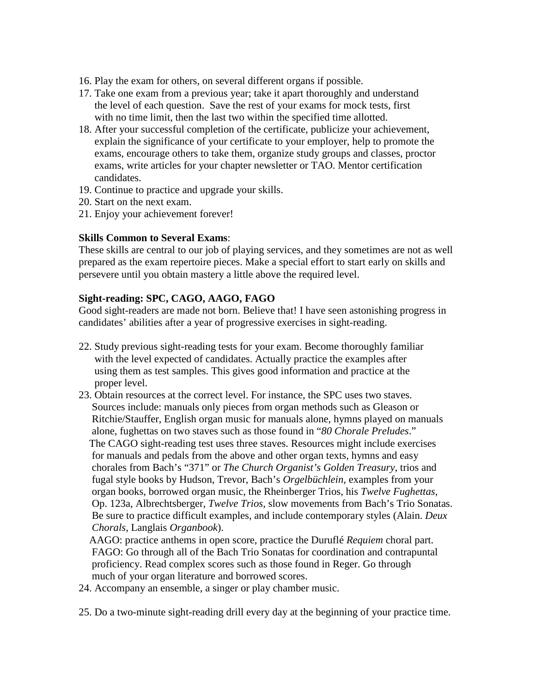- 16. Play the exam for others, on several different organs if possible.
- 17. Take one exam from a previous year; take it apart thoroughly and understand the level of each question. Save the rest of your exams for mock tests, first with no time limit, then the last two within the specified time allotted.
- 18. After your successful completion of the certificate, publicize your achievement, explain the significance of your certificate to your employer, help to promote the exams, encourage others to take them, organize study groups and classes, proctor exams, write articles for your chapter newsletter or TAO. Mentor certification candidates.
- 19. Continue to practice and upgrade your skills.
- 20. Start on the next exam.
- 21. Enjoy your achievement forever!

#### **Skills Common to Several Exams**:

These skills are central to our job of playing services, and they sometimes are not as well prepared as the exam repertoire pieces. Make a special effort to start early on skills and persevere until you obtain mastery a little above the required level.

#### **Sight-reading: SPC, CAGO, AAGO, FAGO**

Good sight-readers are made not born. Believe that! I have seen astonishing progress in candidates' abilities after a year of progressive exercises in sight-reading.

- 22. Study previous sight-reading tests for your exam. Become thoroughly familiar with the level expected of candidates. Actually practice the examples after using them as test samples. This gives good information and practice at the proper level.
- 23. Obtain resources at the correct level. For instance, the SPC uses two staves. Sources include: manuals only pieces from organ methods such as Gleason or Ritchie/Stauffer, English organ music for manuals alone, hymns played on manuals alone, fughettas on two staves such as those found in "*80 Chorale Preludes*." The CAGO sight-reading test uses three staves. Resources might include exercises for manuals and pedals from the above and other organ texts, hymns and easy chorales from Bach's "371" or *The Church Organist's Golden Treasury*, trios and fugal style books by Hudson, Trevor, Bach's *Orgelbüchlein*, examples from your organ books, borrowed organ music, the Rheinberger Trios, his *Twelve Fughettas*, Op. 123a, Albrechtsberger, *Twelve Trios*, slow movements from Bach's Trio Sonatas. Be sure to practice difficult examples, and include contemporary styles (Alain. *Deux Chorals*, Langlais *Organbook*).
	- AAGO: practice anthems in open score, practice the Duruflé *Requiem* choral part. FAGO: Go through all of the Bach Trio Sonatas for coordination and contrapuntal proficiency. Read complex scores such as those found in Reger. Go through much of your organ literature and borrowed scores.
- 24. Accompany an ensemble, a singer or play chamber music.
- 25. Do a two-minute sight-reading drill every day at the beginning of your practice time.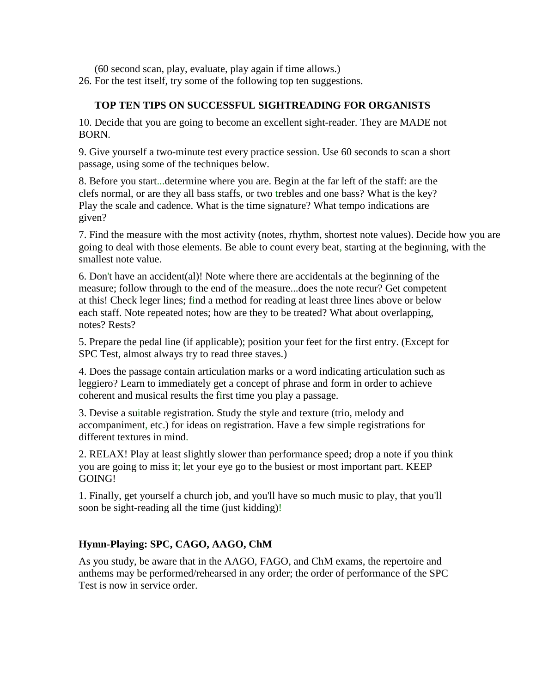(60 second scan, play, evaluate, play again if time allows.)

26. For the test itself, try some of the following top ten suggestions.

## **TOP TEN TIPS ON SUCCESSFUL SIGHTREADING FOR ORGANISTS**

10. Decide that you are going to become an excellent sight-reader. They are MADE not BORN.

9. Give yourself a two-minute test every practice session. Use 60 seconds to scan a short passage, using some of the techniques below.

8. Before you start...determine where you are. Begin at the far left of the staff: are the clefs normal, or are they all bass staffs, or two trebles and one bass? What is the key? Play the scale and cadence. What is the time signature? What tempo indications are given?

7. Find the measure with the most activity (notes, rhythm, shortest note values). Decide how you are going to deal with those elements. Be able to count every beat, starting at the beginning, with the smallest note value.

6. Don't have an accident(al)! Note where there are accidentals at the beginning of the measure; follow through to the end of the measure...does the note recur? Get competent at this! Check leger lines; find a method for reading at least three lines above or below each staff. Note repeated notes; how are they to be treated? What about overlapping, notes? Rests?

5. Prepare the pedal line (if applicable); position your feet for the first entry. (Except for SPC Test, almost always try to read three staves.)

4. Does the passage contain articulation marks or a word indicating articulation such as leggiero? Learn to immediately get a concept of phrase and form in order to achieve coherent and musical results the first time you play a passage.

3. Devise a suitable registration. Study the style and texture (trio, melody and accompaniment, etc.) for ideas on registration. Have a few simple registrations for different textures in mind.

2. RELAX! Play at least slightly slower than performance speed; drop a note if you think you are going to miss it; let your eye go to the busiest or most important part. KEEP GOING!

1. Finally, get yourself a church job, and you'll have so much music to play, that you'll soon be sight-reading all the time (just kidding)!

# **Hymn-Playing: SPC, CAGO, AAGO, ChM**

As you study, be aware that in the AAGO, FAGO, and ChM exams, the repertoire and anthems may be performed/rehearsed in any order; the order of performance of the SPC Test is now in service order.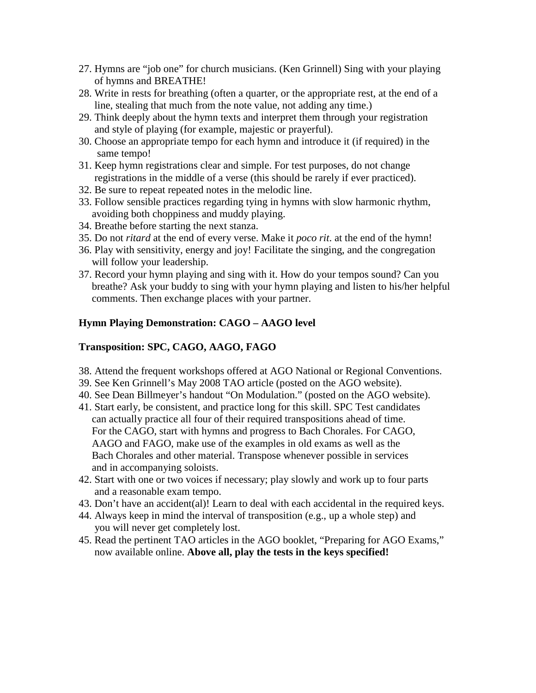- 27. Hymns are "job one" for church musicians. (Ken Grinnell) Sing with your playing of hymns and BREATHE!
- 28. Write in rests for breathing (often a quarter, or the appropriate rest, at the end of a line, stealing that much from the note value, not adding any time.)
- 29. Think deeply about the hymn texts and interpret them through your registration and style of playing (for example, majestic or prayerful).
- 30. Choose an appropriate tempo for each hymn and introduce it (if required) in the same tempo!
- 31. Keep hymn registrations clear and simple. For test purposes, do not change registrations in the middle of a verse (this should be rarely if ever practiced).
- 32. Be sure to repeat repeated notes in the melodic line.
- 33. Follow sensible practices regarding tying in hymns with slow harmonic rhythm, avoiding both choppiness and muddy playing.
- 34. Breathe before starting the next stanza.
- 35. Do not *ritard* at the end of every verse. Make it *poco rit*. at the end of the hymn!
- 36. Play with sensitivity, energy and joy! Facilitate the singing, and the congregation will follow your leadership.
- 37. Record your hymn playing and sing with it. How do your tempos sound? Can you breathe? Ask your buddy to sing with your hymn playing and listen to his/her helpful comments. Then exchange places with your partner.

# **Hymn Playing Demonstration: CAGO – AAGO level**

## **Transposition: SPC, CAGO, AAGO, FAGO**

- 38. Attend the frequent workshops offered at AGO National or Regional Conventions.
- 39. See Ken Grinnell's May 2008 TAO article (posted on the AGO website).
- 40. See Dean Billmeyer's handout "On Modulation." (posted on the AGO website).
- 41. Start early, be consistent, and practice long for this skill. SPC Test candidates can actually practice all four of their required transpositions ahead of time. For the CAGO, start with hymns and progress to Bach Chorales. For CAGO, AAGO and FAGO, make use of the examples in old exams as well as the Bach Chorales and other material. Transpose whenever possible in services and in accompanying soloists.
- 42. Start with one or two voices if necessary; play slowly and work up to four parts and a reasonable exam tempo.
- 43. Don't have an accident(al)! Learn to deal with each accidental in the required keys.
- 44. Always keep in mind the interval of transposition (e.g., up a whole step) and you will never get completely lost.
- 45. Read the pertinent TAO articles in the AGO booklet, "Preparing for AGO Exams," now available online. **Above all, play the tests in the keys specified!**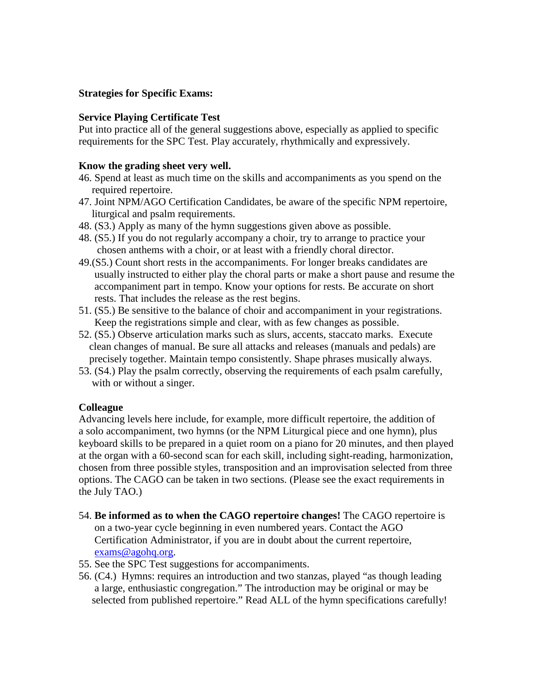## **Strategies for Specific Exams:**

## **Service Playing Certificate Test**

Put into practice all of the general suggestions above, especially as applied to specific requirements for the SPC Test. Play accurately, rhythmically and expressively.

#### **Know the grading sheet very well.**

- 46. Spend at least as much time on the skills and accompaniments as you spend on the required repertoire.
- 47. Joint NPM/AGO Certification Candidates, be aware of the specific NPM repertoire, liturgical and psalm requirements.
- 48. (S3.) Apply as many of the hymn suggestions given above as possible.
- 48. (S5.) If you do not regularly accompany a choir, try to arrange to practice your chosen anthems with a choir, or at least with a friendly choral director.
- 49.(S5.) Count short rests in the accompaniments. For longer breaks candidates are usually instructed to either play the choral parts or make a short pause and resume the accompaniment part in tempo. Know your options for rests. Be accurate on short rests. That includes the release as the rest begins.
- 51. (S5.) Be sensitive to the balance of choir and accompaniment in your registrations. Keep the registrations simple and clear, with as few changes as possible.
- 52. (S5.) Observe articulation marks such as slurs, accents, staccato marks. Execute clean changes of manual. Be sure all attacks and releases (manuals and pedals) are precisely together. Maintain tempo consistently. Shape phrases musically always.
- 53. (S4.) Play the psalm correctly, observing the requirements of each psalm carefully, with or without a singer.

#### **Colleague**

Advancing levels here include, for example, more difficult repertoire, the addition of a solo accompaniment, two hymns (or the NPM Liturgical piece and one hymn), plus keyboard skills to be prepared in a quiet room on a piano for 20 minutes, and then played at the organ with a 60-second scan for each skill, including sight-reading, harmonization, chosen from three possible styles, transposition and an improvisation selected from three options. The CAGO can be taken in two sections. (Please see the exact requirements in the July TAO.)

- 54. **Be informed as to when the CAGO repertoire changes!** The CAGO repertoire is on a two-year cycle beginning in even numbered years. Contact the AGO Certification Administrator, if you are in doubt about the current repertoire, [exams@agohq.org.](mailto:exams@agohq.org)
- 55. See the SPC Test suggestions for accompaniments.
- 56. (C4.) Hymns: requires an introduction and two stanzas, played "as though leading a large, enthusiastic congregation." The introduction may be original or may be selected from published repertoire." Read ALL of the hymn specifications carefully!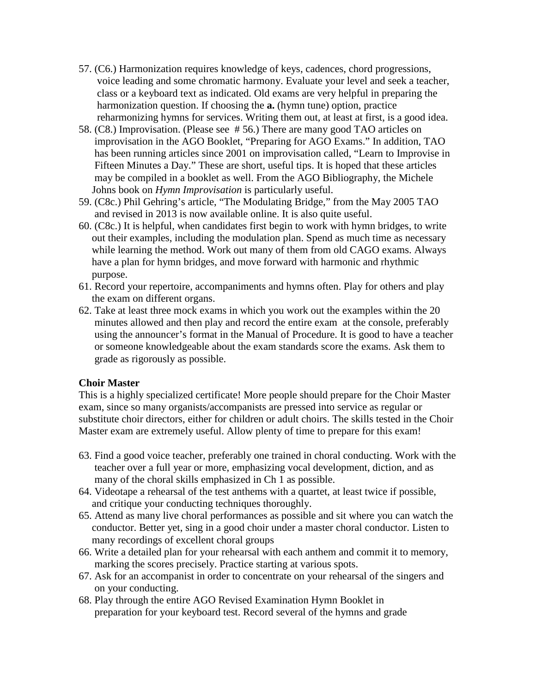- 57. (C6.) Harmonization requires knowledge of keys, cadences, chord progressions, voice leading and some chromatic harmony. Evaluate your level and seek a teacher, class or a keyboard text as indicated. Old exams are very helpful in preparing the harmonization question. If choosing the **a.** (hymn tune) option, practice reharmonizing hymns for services. Writing them out, at least at first, is a good idea.
- 58. (C8.) Improvisation. (Please see # 56.) There are many good TAO articles on improvisation in the AGO Booklet, "Preparing for AGO Exams." In addition, TAO has been running articles since 2001 on improvisation called, "Learn to Improvise in Fifteen Minutes a Day." These are short, useful tips. It is hoped that these articles may be compiled in a booklet as well. From the AGO Bibliography, the Michele Johns book on *Hymn Improvisation* is particularly useful.
- 59. (C8c.) Phil Gehring's article, "The Modulating Bridge," from the May 2005 TAO and revised in 2013 is now available online. It is also quite useful.
- 60. (C8c.) It is helpful, when candidates first begin to work with hymn bridges, to write out their examples, including the modulation plan. Spend as much time as necessary while learning the method. Work out many of them from old CAGO exams. Always have a plan for hymn bridges, and move forward with harmonic and rhythmic purpose.
- 61. Record your repertoire, accompaniments and hymns often. Play for others and play the exam on different organs.
- 62. Take at least three mock exams in which you work out the examples within the 20 minutes allowed and then play and record the entire exam at the console, preferably using the announcer's format in the Manual of Procedure. It is good to have a teacher or someone knowledgeable about the exam standards score the exams. Ask them to grade as rigorously as possible.

#### **Choir Master**

This is a highly specialized certificate! More people should prepare for the Choir Master exam, since so many organists/accompanists are pressed into service as regular or substitute choir directors, either for children or adult choirs. The skills tested in the Choir Master exam are extremely useful. Allow plenty of time to prepare for this exam!

- 63. Find a good voice teacher, preferably one trained in choral conducting. Work with the teacher over a full year or more, emphasizing vocal development, diction, and as many of the choral skills emphasized in Ch 1 as possible.
- 64. Videotape a rehearsal of the test anthems with a quartet, at least twice if possible, and critique your conducting techniques thoroughly.
- 65. Attend as many live choral performances as possible and sit where you can watch the conductor. Better yet, sing in a good choir under a master choral conductor. Listen to many recordings of excellent choral groups
- 66. Write a detailed plan for your rehearsal with each anthem and commit it to memory, marking the scores precisely. Practice starting at various spots.
- 67. Ask for an accompanist in order to concentrate on your rehearsal of the singers and on your conducting.
- 68. Play through the entire AGO Revised Examination Hymn Booklet in preparation for your keyboard test. Record several of the hymns and grade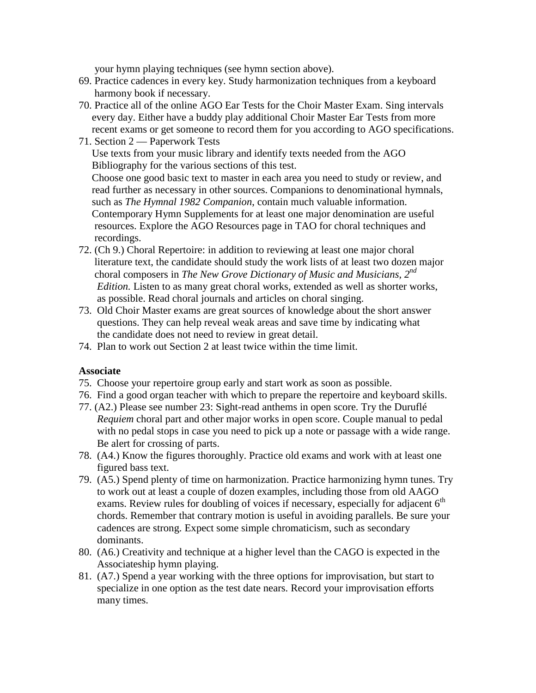your hymn playing techniques (see hymn section above).

- 69. Practice cadences in every key. Study harmonization techniques from a keyboard harmony book if necessary.
- 70. Practice all of the online AGO Ear Tests for the Choir Master Exam. Sing intervals every day. Either have a buddy play additional Choir Master Ear Tests from more recent exams or get someone to record them for you according to AGO specifications.
- 71. Section 2 Paperwork Tests Use texts from your music library and identify texts needed from the AGO Bibliography for the various sections of this test. Choose one good basic text to master in each area you need to study or review, and read further as necessary in other sources. Companions to denominational hymnals, such as *The Hymnal 1982 Companion*, contain much valuable information.

 Contemporary Hymn Supplements for at least one major denomination are useful resources. Explore the AGO Resources page in TAO for choral techniques and recordings.

- 72. (Ch 9.) Choral Repertoire: in addition to reviewing at least one major choral literature text, the candidate should study the work lists of at least two dozen major choral composers in *The New Grove Dictionary of Music and Musicians, 2nd Edition.* Listen to as many great choral works, extended as well as shorter works, as possible. Read choral journals and articles on choral singing.
- 73. Old Choir Master exams are great sources of knowledge about the short answer questions. They can help reveal weak areas and save time by indicating what the candidate does not need to review in great detail.
- 74. Plan to work out Section 2 at least twice within the time limit.

#### **Associate**

- 75. Choose your repertoire group early and start work as soon as possible.
- 76. Find a good organ teacher with which to prepare the repertoire and keyboard skills.
- 77. (A2.) Please see number 23: Sight-read anthems in open score. Try the Duruflé *Requiem* choral part and other major works in open score. Couple manual to pedal with no pedal stops in case you need to pick up a note or passage with a wide range. Be alert for crossing of parts.
- 78. (A4.) Know the figures thoroughly. Practice old exams and work with at least one figured bass text.
- 79. (A5.) Spend plenty of time on harmonization. Practice harmonizing hymn tunes. Try to work out at least a couple of dozen examples, including those from old AAGO exams. Review rules for doubling of voices if necessary, especially for adjacent  $6<sup>th</sup>$  chords. Remember that contrary motion is useful in avoiding parallels. Be sure your cadences are strong. Expect some simple chromaticism, such as secondary dominants.
- 80. (A6.) Creativity and technique at a higher level than the CAGO is expected in the Associateship hymn playing.
- 81. (A7.) Spend a year working with the three options for improvisation, but start to specialize in one option as the test date nears. Record your improvisation efforts many times.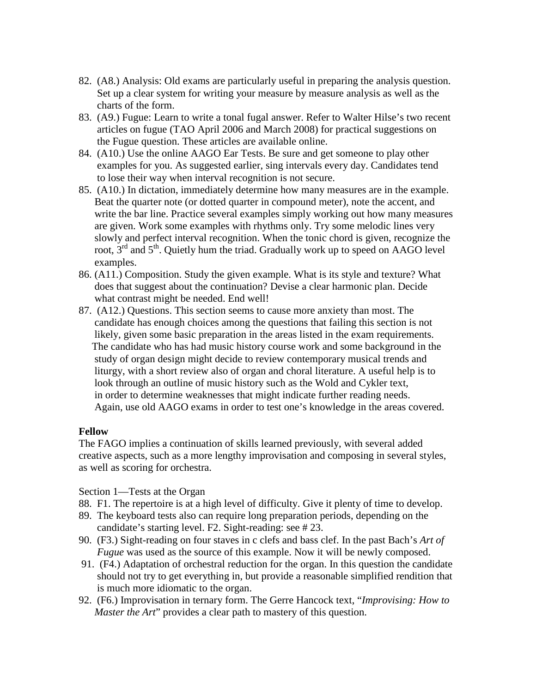- 82. (A8.) Analysis: Old exams are particularly useful in preparing the analysis question. Set up a clear system for writing your measure by measure analysis as well as the charts of the form.
- 83. (A9.) Fugue: Learn to write a tonal fugal answer. Refer to Walter Hilse's two recent articles on fugue (TAO April 2006 and March 2008) for practical suggestions on the Fugue question. These articles are available online.
- 84. (A10.) Use the online AAGO Ear Tests. Be sure and get someone to play other examples for you. As suggested earlier, sing intervals every day. Candidates tend to lose their way when interval recognition is not secure.
- 85. (A10.) In dictation, immediately determine how many measures are in the example. Beat the quarter note (or dotted quarter in compound meter), note the accent, and write the bar line. Practice several examples simply working out how many measures are given. Work some examples with rhythms only. Try some melodic lines very slowly and perfect interval recognition. When the tonic chord is given, recognize the root,  $3<sup>rd</sup>$  and  $5<sup>th</sup>$ . Quietly hum the triad. Gradually work up to speed on AAGO level examples.
- 86. (A11.) Composition. Study the given example. What is its style and texture? What does that suggest about the continuation? Devise a clear harmonic plan. Decide what contrast might be needed. End well!
- 87. (A12.) Questions. This section seems to cause more anxiety than most. The candidate has enough choices among the questions that failing this section is not likely, given some basic preparation in the areas listed in the exam requirements. The candidate who has had music history course work and some background in the study of organ design might decide to review contemporary musical trends and liturgy, with a short review also of organ and choral literature. A useful help is to look through an outline of music history such as the Wold and Cykler text, in order to determine weaknesses that might indicate further reading needs. Again, use old AAGO exams in order to test one's knowledge in the areas covered.

#### **Fellow**

The FAGO implies a continuation of skills learned previously, with several added creative aspects, such as a more lengthy improvisation and composing in several styles, as well as scoring for orchestra.

Section 1—Tests at the Organ

- 88. F1. The repertoire is at a high level of difficulty. Give it plenty of time to develop.
- 89. The keyboard tests also can require long preparation periods, depending on the candidate's starting level. F2. Sight-reading: see # 23.
- 90. (F3.) Sight-reading on four staves in c clefs and bass clef. In the past Bach's *Art of Fugue* was used as the source of this example. Now it will be newly composed.
- 91. (F4.) Adaptation of orchestral reduction for the organ. In this question the candidate should not try to get everything in, but provide a reasonable simplified rendition that is much more idiomatic to the organ.
- 92. (F6.) Improvisation in ternary form. The Gerre Hancock text, "*Improvising: How to Master the Art*" provides a clear path to mastery of this question.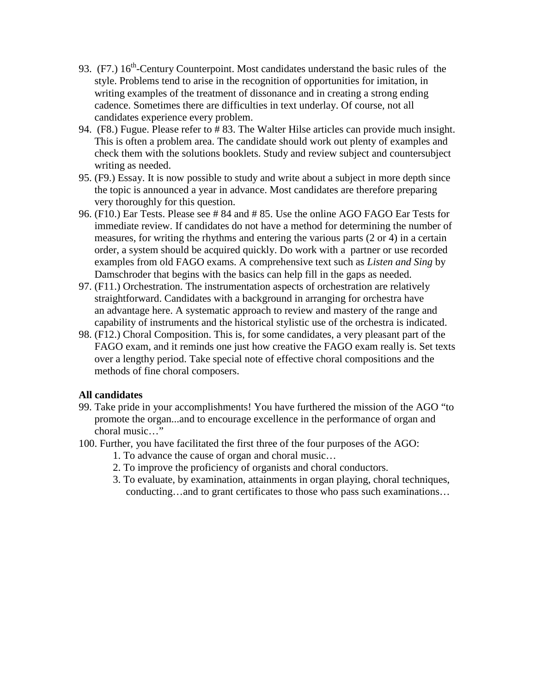- 93.  $(F7.)$  16<sup>th</sup>-Century Counterpoint. Most candidates understand the basic rules of the style. Problems tend to arise in the recognition of opportunities for imitation, in writing examples of the treatment of dissonance and in creating a strong ending cadence. Sometimes there are difficulties in text underlay. Of course, not all candidates experience every problem.
- 94. (F8.) Fugue. Please refer to # 83. The Walter Hilse articles can provide much insight. This is often a problem area. The candidate should work out plenty of examples and check them with the solutions booklets. Study and review subject and countersubject writing as needed.
- 95. (F9.) Essay. It is now possible to study and write about a subject in more depth since the topic is announced a year in advance. Most candidates are therefore preparing very thoroughly for this question.
- 96. (F10.) Ear Tests. Please see # 84 and # 85. Use the online AGO FAGO Ear Tests for immediate review. If candidates do not have a method for determining the number of measures, for writing the rhythms and entering the various parts (2 or 4) in a certain order, a system should be acquired quickly. Do work with a partner or use recorded examples from old FAGO exams. A comprehensive text such as *Listen and Sing* by Damschroder that begins with the basics can help fill in the gaps as needed.
- 97. (F11.) Orchestration. The instrumentation aspects of orchestration are relatively straightforward. Candidates with a background in arranging for orchestra have an advantage here. A systematic approach to review and mastery of the range and capability of instruments and the historical stylistic use of the orchestra is indicated.
- 98. (F12.) Choral Composition. This is, for some candidates, a very pleasant part of the FAGO exam, and it reminds one just how creative the FAGO exam really is. Set texts over a lengthy period. Take special note of effective choral compositions and the methods of fine choral composers.

## **All candidates**

- 99. Take pride in your accomplishments! You have furthered the mission of the AGO "to promote the organ...and to encourage excellence in the performance of organ and choral music…"
- 100. Further, you have facilitated the first three of the four purposes of the AGO:
	- 1. To advance the cause of organ and choral music…
	- 2. To improve the proficiency of organists and choral conductors.
	- 3. To evaluate, by examination, attainments in organ playing, choral techniques, conducting…and to grant certificates to those who pass such examinations…